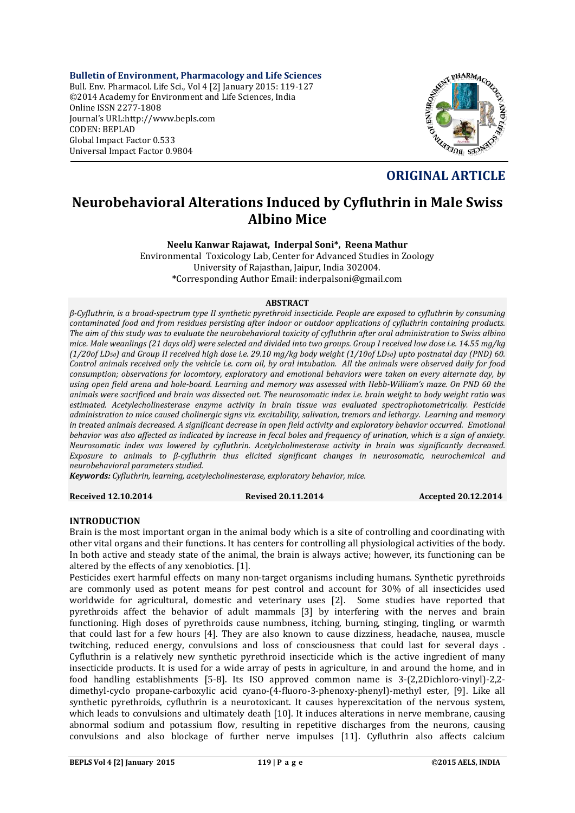**Bulletin of Environment, Pharmacology and Life Sciences** Bull. Env. Pharmacol. Life Sci., Vol 4 [2] January 2015: 119-127 ©2014 Academy for Environment and Life Sciences, India Online ISSN 2277-1808 Journal's URL:http://www.bepls.com CODEN: BEPLAD Global Impact Factor 0.533 Universal Impact Factor 0.9804



# **ORIGINAL ARTICLE**

# **Neurobehavioral Alterations Induced by Cyfluthrin in Male Swiss Albino Mice**

**Neelu Kanwar Rajawat, Inderpal Soni\*, Reena Mathur**

Environmental Toxicology Lab, Center for Advanced Studies in Zoology University of Rajasthan, Jaipur, India 302004. **\***Corresponding Author Email: inderpalsoni@gmail.com

#### **ABSTRACT**

*β-Cyfluthrin, is a broad-spectrum type II synthetic pyrethroid insecticide. People are exposed to cyfluthrin by consuming contaminated food and from residues persisting after indoor or outdoor applications of cyfluthrin containing products. The aim of this study was to evaluate the neurobehavioral toxicity of cyfluthrin after oral administration to Swiss albino mice. Male weanlings (21 days old) were selected and divided into two groups. Group I received low dose i.e. 14.55 mg/kg (1/20of LD50) and Group II received high dose i.e. 29.10 mg/kg body weight (1/10of LD50) upto postnatal day (PND) 60. Control animals received only the vehicle i.e. corn oil, by oral intubation. All the animals were observed daily for food consumption; observations for locomtory, exploratory and emotional behaviors were taken on every alternate day, by using open field arena and hole-board. Learning and memory was assessed with Hebb-William's maze. On PND 60 the animals were sacrificed and brain was dissected out. The neurosomatic index i.e. brain weight to body weight ratio was estimated. Acetylecholinesterase enzyme activity in brain tissue was evaluated spectrophotometrically. Pesticide administration to mice caused cholinergic signs viz. excitability, salivation, tremors and lethargy. Learning and memory in treated animals decreased. A significant decrease in open field activity and exploratory behavior occurred. Emotional behavior was also affected as indicated by increase in fecal boles and frequency of urination, which is a sign of anxiety. Neurosomatic index was lowered by cyfluthrin. Acetylcholinesterase activity in brain was significantly decreased. Exposure to animals to β-cyfluthrin thus elicited significant changes in neurosomatic, neurochemical and neurobehavioral parameters studied.* 

*Keywords: Cyfluthrin, learning, acetylecholinesterase, exploratory behavior, mice.*

#### **Received 12.10.2014 Revised 20.11.2014 Accepted 20.12.2014**

## **INTRODUCTION**

Brain is the most important organ in the animal body which is a site of controlling and coordinating with other vital organs and their functions. It has centers for controlling all physiological activities of the body. In both active and steady state of the animal, the brain is always active; however, its functioning can be altered by the effects of any xenobiotics. [1].

Pesticides exert harmful effects on many non-target organisms including humans. Synthetic pyrethroids are commonly used as potent means for pest control and account for 30% of all insecticides used worldwide for agricultural, domestic and veterinary uses [2]. Some studies have reported that pyrethroids affect the behavior of adult mammals [3] by interfering with the nerves and brain functioning. High doses of pyrethroids cause numbness, itching, burning, stinging, tingling, or warmth that could last for a few hours [4]. They are also known to cause dizziness, headache, nausea, muscle twitching, reduced energy, convulsions and loss of consciousness that could last for several days . Cyfluthrin is a relatively new synthetic pyrethroid insecticide which is the active ingredient of many insecticide products. It is used for a wide array of pests in agriculture, in and around the home, and in food handling establishments [5-8]. Its ISO approved common name is 3-(2,2Dichloro-vinyl)-2,2 dimethyl-cyclo propane-carboxylic acid cyano-(4-fluoro-3-phenoxy-phenyl)-methyl ester, [9]. Like all synthetic pyrethroids, cyfluthrin is a neurotoxicant. It causes hyperexcitation of the nervous system, which leads to convulsions and ultimately death [10]. It induces alterations in nerve membrane, causing abnormal sodium and potassium flow, resulting in repetitive discharges from the neurons, causing convulsions and also blockage of further nerve impulses [11]. Cyfluthrin also affects calcium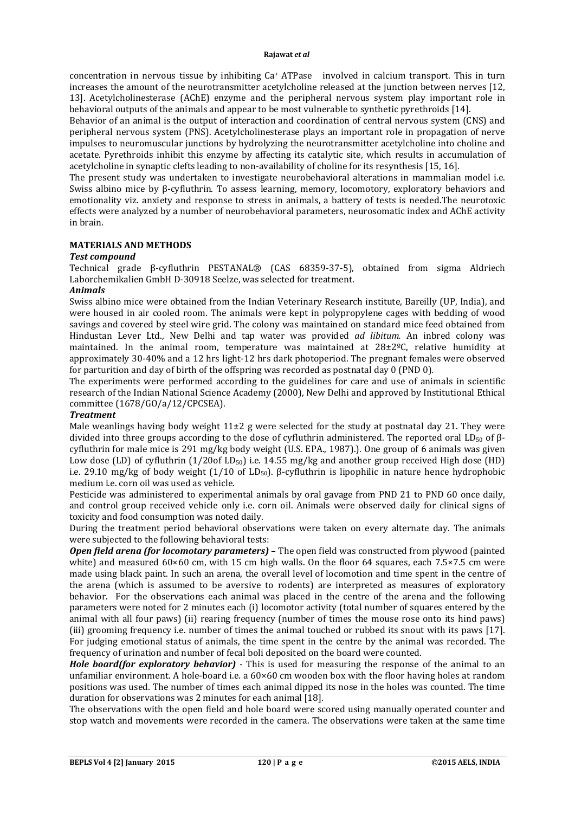concentration in nervous tissue by inhibiting Ca+ ATPase involved in calcium transport. This in turn increases the amount of the neurotransmitter acetylcholine released at the junction between nerves [12, 13]. Acetylcholinesterase (AChE) enzyme and the peripheral nervous system play important role in behavioral outputs of the animals and appear to be most vulnerable to synthetic pyrethroids [14].

Behavior of an animal is the output of interaction and coordination of central nervous system (CNS) and peripheral nervous system (PNS). Acetylcholinesterase plays an important role in propagation of nerve impulses to neuromuscular junctions by hydrolyzing the neurotransmitter acetylcholine into choline and acetate. Pyrethroids inhibit this enzyme by affecting its catalytic site, which results in accumulation of acetylcholine in synaptic clefts leading to non-availability of choline for its resynthesis [15, 16].

The present study was undertaken to investigate neurobehavioral alterations in mammalian model i.e. Swiss albino mice by β-cyfluthrin. To assess learning, memory, locomotory, exploratory behaviors and emotionality viz. anxiety and response to stress in animals, a battery of tests is needed.The neurotoxic effects were analyzed by a number of neurobehavioral parameters, neurosomatic index and AChE activity in brain.

## **MATERIALS AND METHODS**

## *Test compound*

Technical grade β-cyfluthrin PESTANAL® (CAS 68359-37-5), obtained from sigma Aldriech Laborchemikalien GmbH D-30918 Seelze, was selected for treatment.

# *Animals*

Swiss albino mice were obtained from the Indian Veterinary Research institute, Bareilly (UP, India), and were housed in air cooled room. The animals were kept in polypropylene cages with bedding of wood savings and covered by steel wire grid. The colony was maintained on standard mice feed obtained from Hindustan Lever Ltd., New Delhi and tap water was provided *ad libitum.* An inbred colony was maintained. In the animal room, temperature was maintained at 28±2ºC, relative humidity at approximately 30-40% and a 12 hrs light-12 hrs dark photoperiod. The pregnant females were observed for parturition and day of birth of the offspring was recorded as postnatal day 0 (PND 0).

The experiments were performed according to the guidelines for care and use of animals in scientific research of the Indian National Science Academy (2000), New Delhi and approved by Institutional Ethical committee (1678/GO/a/12/CPCSEA).

## *Treatment*

Male weanlings having body weight  $11\pm2$  g were selected for the study at postnatal day 21. They were divided into three groups according to the dose of cyfluthrin administered. The reported oral LD<sub>50</sub> of βcyfluthrin for male mice is 291 mg/kg body weight (U.S. EPA., 1987).). One group of 6 animals was given Low dose (LD) of cyfluthrin  $(1/20$ of LD<sub>50</sub>) i.e. 14.55 mg/kg and another group received High dose (HD) i.e. 29.10 mg/kg of body weight  $(1/10 \text{ of LD}_{50})$ . β-cyfluthrin is lipophilic in nature hence hydrophobic medium i.e. corn oil was used as vehicle.

Pesticide was administered to experimental animals by oral gavage from PND 21 to PND 60 once daily, and control group received vehicle only i.e. corn oil. Animals were observed daily for clinical signs of toxicity and food consumption was noted daily.

During the treatment period behavioral observations were taken on every alternate day. The animals were subjected to the following behavioral tests:

*Open field arena (for locomotary parameters)* – The open field was constructed from plywood (painted white) and measured  $60\times60$  cm, with 15 cm high walls. On the floor 64 squares, each 7.5×7.5 cm were made using black paint. In such an arena, the overall level of locomotion and time spent in the centre of the arena (which is assumed to be aversive to rodents) are interpreted as measures of exploratory behavior. For the observations each animal was placed in the centre of the arena and the following parameters were noted for 2 minutes each (i) locomotor activity (total number of squares entered by the animal with all four paws) (ii) rearing frequency (number of times the mouse rose onto its hind paws) (iii) grooming frequency i.e. number of times the animal touched or rubbed its snout with its paws [17]. For judging emotional status of animals, the time spent in the centre by the animal was recorded. The frequency of urination and number of fecal boli deposited on the board were counted.

*Hole board(for exploratory behavior)* - This is used for measuring the response of the animal to an unfamiliar environment. A hole-board i.e. a 60×60 cm wooden box with the floor having holes at random positions was used. The number of times each animal dipped its nose in the holes was counted. The time duration for observations was 2 minutes for each animal [18].

The observations with the open field and hole board were scored using manually operated counter and stop watch and movements were recorded in the camera. The observations were taken at the same time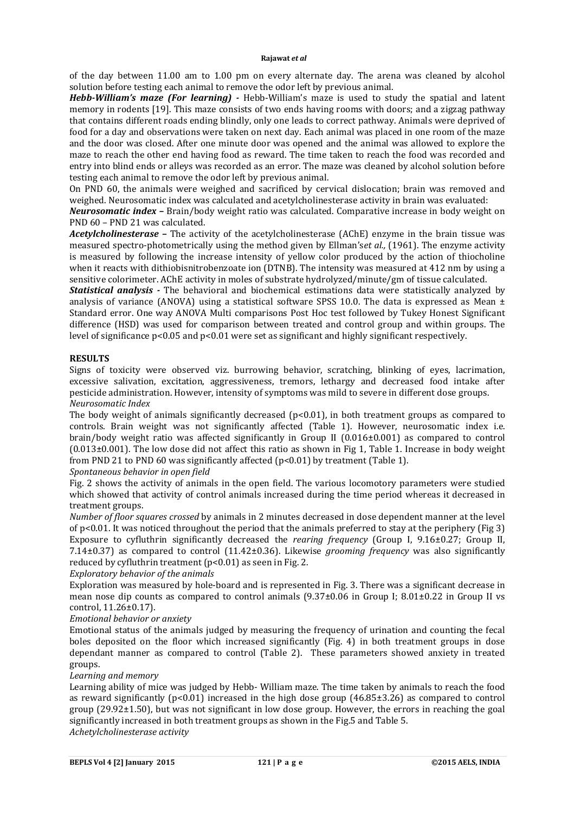of the day between 11.00 am to 1.00 pm on every alternate day. The arena was cleaned by alcohol solution before testing each animal to remove the odor left by previous animal.

*Hebb-William's maze (For learning) -* Hebb-William's maze is used to study the spatial and latent memory in rodents [19]. This maze consists of two ends having rooms with doors; and a zigzag pathway that contains different roads ending blindly, only one leads to correct pathway. Animals were deprived of food for a day and observations were taken on next day. Each animal was placed in one room of the maze and the door was closed. After one minute door was opened and the animal was allowed to explore the maze to reach the other end having food as reward. The time taken to reach the food was recorded and entry into blind ends or alleys was recorded as an error. The maze was cleaned by alcohol solution before testing each animal to remove the odor left by previous animal.

On PND 60, the animals were weighed and sacrificed by cervical dislocation; brain was removed and weighed. Neurosomatic index was calculated and acetylcholinesterase activity in brain was evaluated:

*Neurosomatic index –* Brain/body weight ratio was calculated. Comparative increase in body weight on PND 60 – PND 21 was calculated.

*Acetylcholinesterase –* The activity of the acetylcholinesterase (AChE) enzyme in the brain tissue was measured spectro-photometrically using the method given by Ellman's*et al.,* (1961). The enzyme activity is measured by following the increase intensity of yellow color produced by the action of thiocholine when it reacts with dithiobisnitrobenzoate ion (DTNB). The intensity was measured at 412 nm by using a sensitive colorimeter. AChE activity in moles of substrate hydrolyzed/minute/gm of tissue calculated.

*Statistical analysis -* The behavioral and biochemical estimations data were statistically analyzed by analysis of variance (ANOVA) using a statistical software SPSS 10.0. The data is expressed as Mean  $\pm$ Standard error. One way ANOVA Multi comparisons Post Hoc test followed by Tukey Honest Significant difference (HSD) was used for comparison between treated and control group and within groups. The level of significance p<0.05 and p<0.01 were set as significant and highly significant respectively.

## **RESULTS**

Signs of toxicity were observed viz. burrowing behavior, scratching, blinking of eyes, lacrimation, excessive salivation, excitation, aggressiveness, tremors, lethargy and decreased food intake after pesticide administration. However, intensity of symptoms was mild to severe in different dose groups. *Neurosomatic Index*

The body weight of animals significantly decreased (p<0.01), in both treatment groups as compared to controls. Brain weight was not significantly affected (Table 1). However, neurosomatic index i.e. brain/body weight ratio was affected significantly in Group II (0.016±0.001) as compared to control (0.013±0.001). The low dose did not affect this ratio as shown in Fig 1, Table 1. Increase in body weight from PND 21 to PND 60 was significantly affected (p<0.01) by treatment (Table 1).

## *Spontaneous behavior in open field*

Fig. 2 shows the activity of animals in the open field. The various locomotory parameters were studied which showed that activity of control animals increased during the time period whereas it decreased in treatment groups.

*Number of floor squares crossed* by animals in 2 minutes decreased in dose dependent manner at the level of p<0.01. It was noticed throughout the period that the animals preferred to stay at the periphery (Fig 3) Exposure to cyfluthrin significantly decreased the *rearing frequency* (Group I, 9.16±0.27; Group II, 7.14±0.37) as compared to control (11.42±0.36). Likewise *grooming frequency* was also significantly reduced by cyfluthrin treatment (p<0.01) as seen in Fig. 2.

*Exploratory behavior of the animals*

Exploration was measured by hole-board and is represented in Fig. 3. There was a significant decrease in mean nose dip counts as compared to control animals  $(9.37\pm0.06$  in Group I;  $8.01\pm0.22$  in Group II vs control, 11.26±0.17).

# *Emotional behavior or anxiety*

Emotional status of the animals judged by measuring the frequency of urination and counting the fecal boles deposited on the floor which increased significantly (Fig. 4) in both treatment groups in dose dependant manner as compared to control (Table 2). These parameters showed anxiety in treated groups.

## *Learning and memory*

Learning ability of mice was judged by Hebb- William maze. The time taken by animals to reach the food as reward significantly ( $p<0.01$ ) increased in the high dose group ( $46.85\pm3.26$ ) as compared to control group (29.92±1.50), but was not significant in low dose group. However, the errors in reaching the goal significantly increased in both treatment groups as shown in the Fig.5 and Table 5.

*Achetylcholinesterase activity*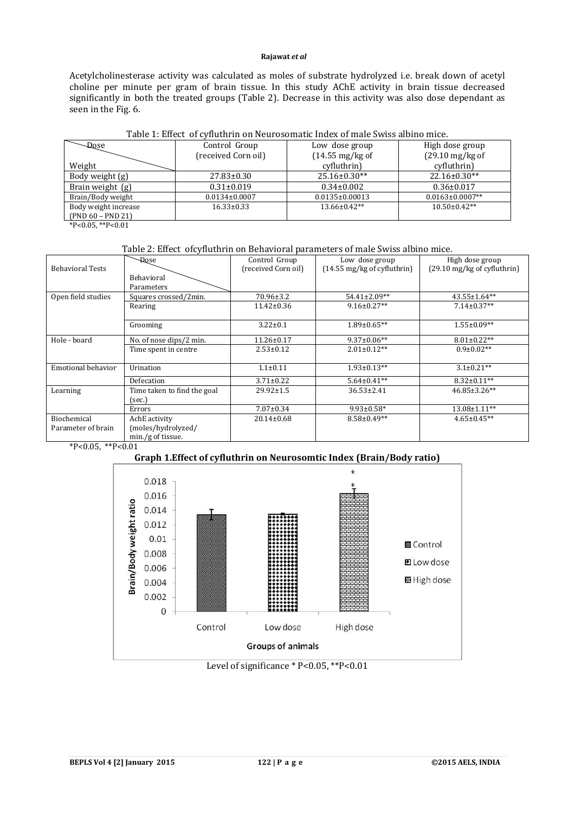Acetylcholinesterase activity was calculated as moles of substrate hydrolyzed i.e. break down of acetyl choline per minute per gram of brain tissue. In this study AChE activity in brain tissue decreased significantly in both the treated groups (Table 2). Decrease in this activity was also dose dependant as seen in the Fig. 6.

| Table 1: Effect of Cynuthi'ni on Neurosomatic muex of male Swiss albino mice. |                     |                           |                           |  |  |  |
|-------------------------------------------------------------------------------|---------------------|---------------------------|---------------------------|--|--|--|
| $-D$ Qse                                                                      | Control Group       | Low dose group            | High dose group           |  |  |  |
|                                                                               | (received Corn oil) | $(14.55 \text{ mg/kg of}$ | $(29.10 \text{ mg/kg of}$ |  |  |  |
| Weight                                                                        |                     | cyfluthrin)               | cyfluthrin)               |  |  |  |
| Body weight (g)                                                               | $27.83 \pm 0.30$    | $25.16 \pm 0.30**$        | $22.16 \pm 0.30**$        |  |  |  |
| Brain weight (g)                                                              | $0.31 \pm 0.019$    | $0.34 \pm 0.002$          | $0.36 \pm 0.017$          |  |  |  |
| Brain/Body weight                                                             | $0.0134\pm0.0007$   | $0.0135 \pm 0.00013$      | $0.0163 \pm 0.0007**$     |  |  |  |
| Body weight increase                                                          | $16.33 \pm 0.33$    | $13.66 \pm 0.42**$        | $10.50 \pm 0.42**$        |  |  |  |
| $(PND 60 - PND 21)$                                                           |                     |                           |                           |  |  |  |
| $+D$ $\wedge$ $\wedge$ $E$ $+D$ $\wedge$ $\wedge$ $A$                         |                     |                           |                           |  |  |  |

# Table 1: Effect of cyfluthrin on Neurosomatic Index of male Swiss albino mice.

\*P<0.05, \*\*P<0.01

#### Table 2: Effect ofcyfluthrin on Behavioral parameters of male Swiss albino mice.

|                                          | <b>Dose</b>                 | Control Group       | Low dose group                        | High dose group                       |
|------------------------------------------|-----------------------------|---------------------|---------------------------------------|---------------------------------------|
| <b>Behavioral Tests</b>                  |                             | (received Corn oil) | $(14.55 \text{ mg/kg of cyfluthrin})$ | $(29.10 \text{ mg/kg of cyfluthrin})$ |
|                                          | <b>Behavioral</b>           |                     |                                       |                                       |
|                                          | Parameters                  |                     |                                       |                                       |
| Open field studies                       | Squares crossed/2min.       | $70.96 \pm 3.2$     | $54.41 \pm 2.09**$                    | $43.55 \pm 1.64**$                    |
|                                          | Rearing                     | $11.42 \pm 0.36$    | $9.16 \pm 0.27**$                     | $7.14 \pm 0.37**$                     |
|                                          | Grooming                    | $3.22 \pm 0.1$      | $1.89 \pm 0.65$ **                    | $1.55 \pm 0.09**$                     |
| Hole - board                             | No. of nose dips/2 min.     | $11.26 \pm 0.17$    | $9.37 \pm 0.06**$                     | $8.01 \pm 0.22**$                     |
|                                          | Time spent in centre        | $2.53 \pm 0.12$     | $2.01 \pm 0.12**$                     | $0.9 \pm 0.02**$                      |
| Emotional behavior                       | Urination                   | $1.1 \pm 0.11$      | $1.93 \pm 0.13**$                     | $3.1 \pm 0.21**$                      |
|                                          | Defecation                  | $3.71 \pm 0.22$     | $5.64 \pm 0.41**$                     | $8.32 \pm 0.11**$                     |
| Learning                                 | Time taken to find the goal | $29.92 \pm 1.5$     | $36.53 \pm 2.41$                      | $46.85 \pm 3.26**$                    |
|                                          | (sec.)                      |                     |                                       |                                       |
|                                          | Errors                      | $7.07 \pm 0.34$     | $9.93 \pm 0.58$ *                     | $13.08 \pm 1.11$ **                   |
| Biochemical                              | AchE activity               | $20.14 \pm 0.68$    | $8.58 \pm 0.49**$                     | $4.65 \pm 0.45**$                     |
| (moles/hydrolyzed/<br>Parameter of brain |                             |                     |                                       |                                       |
|                                          | min./g of tissue.           |                     |                                       |                                       |

 $*P<0.05$ ,  $*P<0.01$ 



## Level of significance \* P<0.05, \*\*P<0.01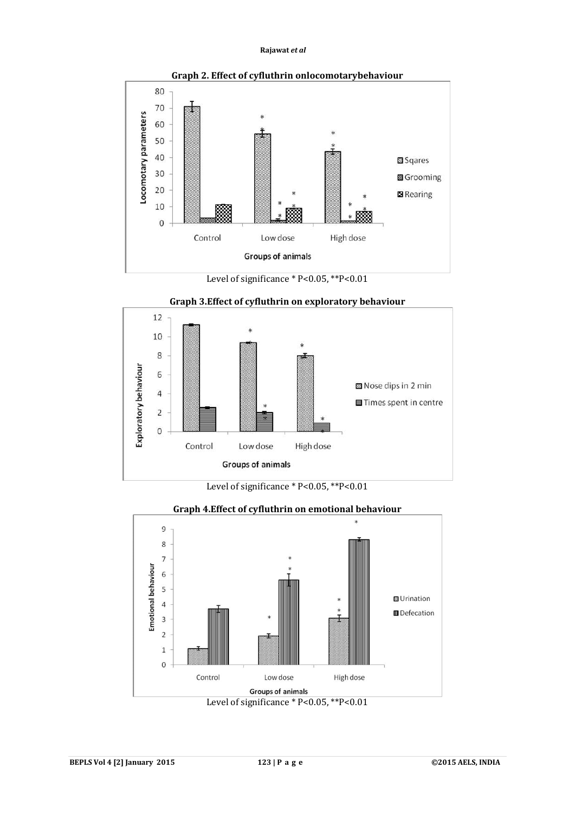

**Graph 2. Effect of cyfluthrin onlocomotarybehaviour**

Level of significance \* P<0.05, \*\* P<0.01



**Graph 3.Effect of cyfluthrin on exploratory behaviour**

Level of significance \* P<0.05, \*\*P<0.01



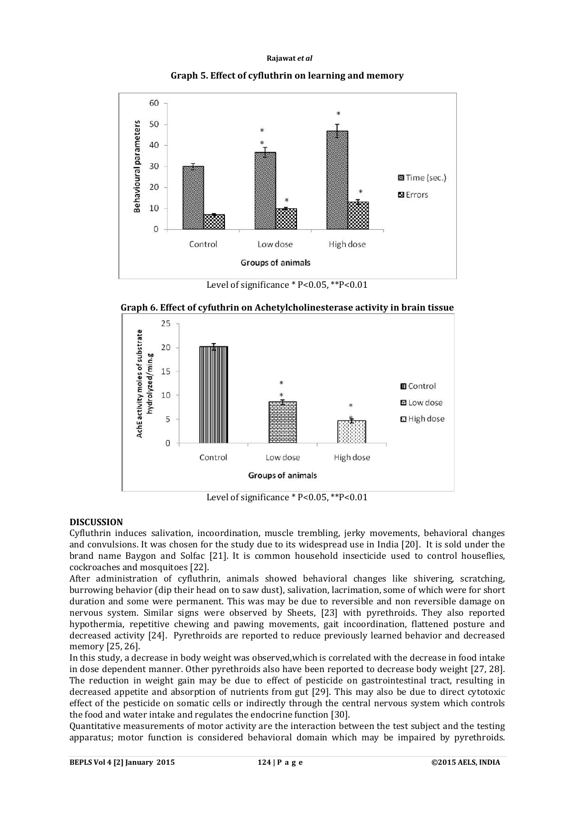



Level of significance \* P<0.05, \*\*P<0.01



**Graph 6. Effect of cyfuthrin on Achetylcholinesterase activity in brain tissue**

Level of significance \* P<0.05, \*\*P<0.01

#### **DISCUSSION**

Cyfluthrin induces salivation, incoordination, muscle trembling, jerky movements, behavioral changes and convulsions. It was chosen for the study due to its widespread use in India [20]. It is sold under the brand name Baygon and Solfac [21]. It is common household insecticide used to control houseflies, cockroaches and mosquitoes [22].

After administration of cyfluthrin, animals showed behavioral changes like shivering, scratching, burrowing behavior (dip their head on to saw dust), salivation, lacrimation, some of which were for short duration and some were permanent. This was may be due to reversible and non reversible damage on nervous system. Similar signs were observed by Sheets, [23] with pyrethroids. They also reported hypothermia, repetitive chewing and pawing movements, gait incoordination, flattened posture and decreased activity [24]. Pyrethroids are reported to reduce previously learned behavior and decreased memory [25, 26].

In this study, a decrease in body weight was observed,which is correlated with the decrease in food intake in dose dependent manner. Other pyrethroids also have been reported to decrease body weight [27, 28]. The reduction in weight gain may be due to effect of pesticide on gastrointestinal tract, resulting in decreased appetite and absorption of nutrients from gut [29]. This may also be due to direct cytotoxic effect of the pesticide on somatic cells or indirectly through the central nervous system which controls the food and water intake and regulates the endocrine function [30].

Quantitative measurements of motor activity are the interaction between the test subject and the testing apparatus; motor function is considered behavioral domain which may be impaired by pyrethroids.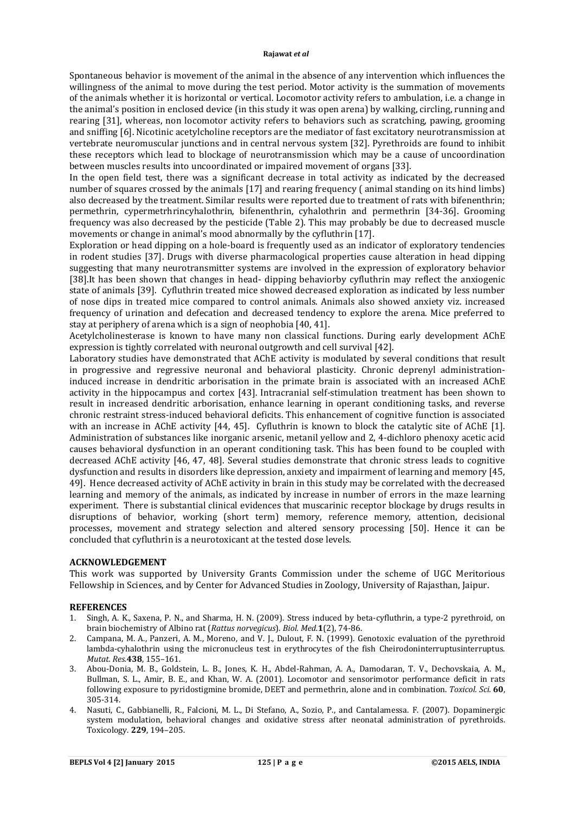Spontaneous behavior is movement of the animal in the absence of any intervention which influences the willingness of the animal to move during the test period. Motor activity is the summation of movements of the animals whether it is horizontal or vertical. Locomotor activity refers to ambulation, i.e. a change in the animal's position in enclosed device (in this study it was open arena) by walking, circling, running and rearing [31], whereas, non locomotor activity refers to behaviors such as scratching, pawing, grooming and sniffing [6]. Nicotinic acetylcholine receptors are the mediator of fast excitatory neurotransmission at vertebrate neuromuscular junctions and in central nervous system [32]. Pyrethroids are found to inhibit these receptors which lead to blockage of neurotransmission which may be a cause of uncoordination between muscles results into uncoordinated or impaired movement of organs [33].

In the open field test, there was a significant decrease in total activity as indicated by the decreased number of squares crossed by the animals [17] and rearing frequency ( animal standing on its hind limbs) also decreased by the treatment. Similar results were reported due to treatment of rats with bifenenthrin; permethrin, cypermetrhrincyhalothrin, bifenenthrin, cyhalothrin and permethrin [34-36]. Grooming frequency was also decreased by the pesticide (Table 2). This may probably be due to decreased muscle movements or change in animal's mood abnormally by the cyfluthrin [17].

Exploration or head dipping on a hole-board is frequently used as an indicator of exploratory tendencies in rodent studies [37]. Drugs with diverse pharmacological properties cause alteration in head dipping suggesting that many neurotransmitter systems are involved in the expression of exploratory behavior [38].It has been shown that changes in head- dipping behaviorby cyfluthrin may reflect the anxiogenic state of animals [39]. Cyfluthrin treated mice showed decreased exploration as indicated by less number of nose dips in treated mice compared to control animals. Animals also showed anxiety viz. increased frequency of urination and defecation and decreased tendency to explore the arena. Mice preferred to stay at periphery of arena which is a sign of neophobia [40, 41].

Acetylcholinesterase is known to have many non classical functions. During early development AChE expression is tightly correlated with neuronal outgrowth and cell survival [42].

Laboratory studies have demonstrated that AChE activity is modulated by several conditions that result in progressive and regressive neuronal and behavioral plasticity. Chronic deprenyl administrationinduced increase in dendritic arborisation in the primate brain is associated with an increased AChE activity in the hippocampus and cortex [43]. Intracranial self-stimulation treatment has been shown to result in increased dendritic arborisation, enhance learning in operant conditioning tasks, and reverse chronic restraint stress-induced behavioral deficits. This enhancement of cognitive function is associated with an increase in AChE activity [44, 45]. Cyfluthrin is known to block the catalytic site of AChE [1]. Administration of substances like inorganic arsenic, metanil yellow and 2, 4-dichloro phenoxy acetic acid causes behavioral dysfunction in an operant conditioning task. This has been found to be coupled with decreased AChE activity [46, 47, 48]. Several studies demonstrate that chronic stress leads to cognitive dysfunction and results in disorders like depression, anxiety and impairment of learning and memory [45, 49]. Hence decreased activity of AChE activity in brain in this study may be correlated with the decreased learning and memory of the animals, as indicated by increase in number of errors in the maze learning experiment. There is substantial clinical evidences that muscarinic receptor blockage by drugs results in disruptions of behavior, working (short term) memory, reference memory, attention, decisional processes, movement and strategy selection and altered sensory processing [50]. Hence it can be concluded that cyfluthrin is a neurotoxicant at the tested dose levels.

## **ACKNOWLEDGEMENT**

This work was supported by University Grants Commission under the scheme of UGC Meritorious Fellowship in Sciences, and by Center for Advanced Studies in Zoology, University of Rajasthan, Jaipur.

#### **REFERENCES**

- 1. Singh, A. K., Saxena, P. N., and Sharma, H. N. (2009). Stress induced by beta-cyfluthrin, a type-2 pyrethroid, on brain biochemistry of Albino rat (*Rattus norvegicus*). *Biol. Med.***1**(2), 74-86.
- 2. Campana, M. A., Panzeri, A. M., Moreno, and V. J., Dulout, F. N. (1999). Genotoxic evaluation of the pyrethroid lambda-cyhalothrin using the micronucleus test in erythrocytes of the fish Cheirodoninterruptusinterruptus. *Mutat. Res.***438**, 155–161.
- 3. Abou-Donia, M. B., Goldstein, L. B., Jones, K. H., Abdel-Rahman, A. A., Damodaran, T. V., Dechovskaia, A. M., Bullman, S. L., Amir, B. E., and Khan, W. A. (2001). Locomotor and sensorimotor performance deficit in rats following exposure to pyridostigmine bromide, DEET and permethrin, alone and in combination. *Toxicol. Sci.* **60**, 305-314.
- 4. Nasuti, C., Gabbianelli, R., Falcioni, M. L., Di Stefano, A., Sozio, P., and Cantalamessa. F. (2007). Dopaminergic system modulation, behavioral changes and oxidative stress after neonatal administration of pyrethroids. Toxicology. **229**, 194–205.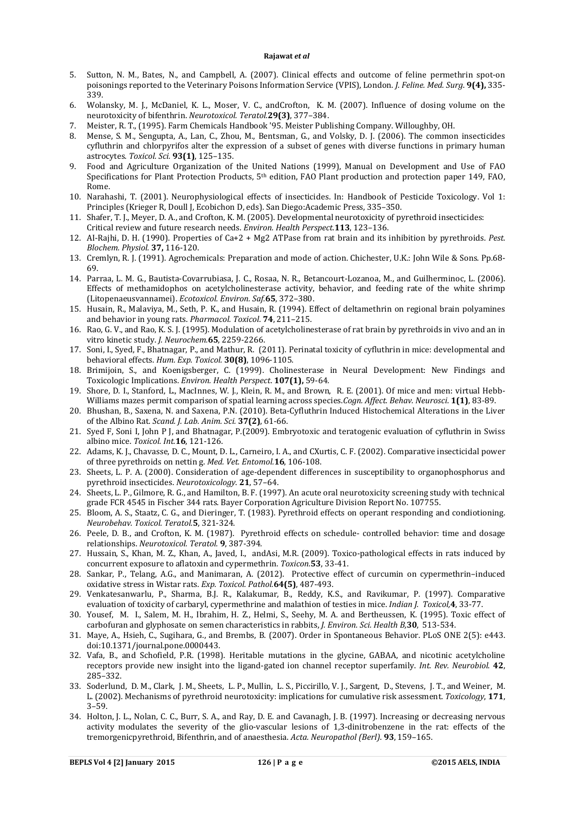- 5. Sutton, N. M., Bates, N., and Campbell, A. (2007). Clinical effects and outcome of feline permethrin spot-on poisonings reported to the Veterinary Poisons Information Service (VPIS), London. *J. Feline. Med. Surg*. **9(4),** 335- 339.
- 6. Wolansky, M. J., McDaniel, K. L., Moser, V. C., andCrofton, K. M. (2007). Influence of dosing volume on the neurotoxicity of bifenthrin. *Neurotoxicol. Teratol.***29(3)**, 377–384.
- 7. Meister, R. T., (1995). Farm Chemicals Handbook '95. Meister Publishing Company. Willoughby, OH.
- 8. Mense, S. M., Sengupta, A., Lan, C., Zhou, M., Bentsman, G., and Volsky, D. J. (2006). The common insecticides cyfluthrin and chlorpyrifos alter the expression of a subset of genes with diverse functions in primary human astrocytes. *Toxicol. Sci.* **93(1)**, 125–135.
- 9. Food and Agriculture Organization of the United Nations (1999), Manual on Development and Use of FAO Specifications for Plant Protection Products, 5<sup>th</sup> edition, FAO Plant production and protection paper 149, FAO, Rome.
- 10. Narahashi, T. (2001). Neurophysiological effects of insecticides. In: Handbook of Pesticide Toxicology. Vol 1: Principles (Krieger R, Doull J, Ecobichon D, eds). San Diego:Academic Press, 335–350.
- 11. Shafer, T. J., Meyer, D. A., and Crofton, K. M. (2005). Developmental neurotoxicity of pyrethroid insecticides: Critical review and future research needs. *Environ. Health Perspect.***113**, 123–136.
- 12. AI-Rajhi, D. H. (1990). Properties of Ca+2 + Mg2 ATPase from rat brain and its inhibition by pyrethroids. *Pest. Blochem. Physiol.* **37,** 116-120.
- 13. Cremlyn, R. J. (1991). Agrochemicals: Preparation and mode of action. Chichester, U.K.: John Wile & Sons. Pp.68- 69.
- 14. Parraa, L. M. G., Bautista-Covarrubiasa, J. C., Rosaa, N. R., Betancourt-Lozanoa, M., and Guilherminoc, L. (2006). Effects of methamidophos on acetylcholinesterase activity, behavior, and feeding rate of the white shrimp (Litopenaeusvannamei). *Ecotoxicol. Environ. Saf.***65**, 372–380.
- 15. Husain, R., Malaviya, M., Seth, P. K., and Husain, R. (1994). Effect of deltamethrin on regional brain polyamines and behavior in young rats. *Pharmacol. Toxicol*. **74**, 211–215.
- 16. Rao, G. V., and Rao, K. S. J. (1995). Modulation of acetylcholinesterase of rat brain by pyrethroids in vivo and an in vitro kinetic study. *J. Neurochem.***65**, 2259-2266.
- 17. Soni, I., Syed, F., Bhatnagar, P., and Mathur, R. (2011). Perinatal toxicity of cyfluthrin in mice: developmental and behavioral effects. *Hum. Exp. Toxicol.* **30(8)**, 1096-1105.
- 18. Brimijoin, S., and Koenigsberger, C. (1999). Cholinesterase in Neural Development: New Findings and Toxicologic Implications. *Environ. Health Perspect*. **107(1),** 59-64.
- 19. Shore, D. I., Stanford, L., MacInnes, W. J., Klein, R. M., and Brown, R. E. (2001). Of mice and men: virtual Hebb-Williams mazes permit comparison of spatial learning across species.*Cogn. Affect. Behav. Neurosci*. **1(1)**, 83-89.
- 20. Bhushan, B., Saxena, N. and Saxena, P.N. (2010). Beta-Cyfluthrin Induced Histochemical Alterations in the Liver of the Albino Rat. *Scand. J. Lab. Anim. Sci.* **37(2)**, 61-66.
- 21. Syed F, Soni I, John P J, and Bhatnagar, P.(2009). Embryotoxic and teratogenic evaluation of cyfluthrin in Swiss albino mice. *Toxicol. Int.***16**, 121-126.
- 22. Adams, K. J., Chavasse, D. C., Mount, D. L., Carneiro, I. A., and CXurtis, C. F. (2002). Comparative insecticidal power of three pyrethroids on nettin g. *Med. Vet. Entomol.***16**, 106-108.
- 23. Sheets, L. P. A. (2000). Consideration of age-dependent differences in susceptibility to organophosphorus and pyrethroid insecticides. *Neurotoxicology*. **21**, 57–64.
- 24. Sheets, L. P., Gilmore, R. G., and Hamilton, B. F. (1997). An acute oral neurotoxicity screening study with technical grade FCR 4545 in Fischer 344 rats. Bayer Corporation Agriculture Division Report No. 107755.
- 25. Bloom, A. S., Staatz, C. G., and Dieringer, T. (1983). Pyrethroid effects on operant responding and condiotioning. *Neurobehav. Toxicol. Teratol.***5**, 321-324.
- 26. Peele, D. B., and Crofton, K. M. (1987). Pyrethroid effects on schedule- controlled behavior: time and dosage relationships. *Neurotoxicol. Teratol.* **9**, 387-394.
- 27. Hussain, S., Khan, M. Z., Khan, A., Javed, I., andAsi, M.R. (2009). Toxico-pathological effects in rats induced by concurrent exposure to aflatoxin and cypermethrin. *Toxicon.***53**, 33-41.
- 28. Sankar, P., Telang, A.G., and Manimaran, A. (2012). Protective effect of curcumin on cypermethrin–induced oxidative stress in Wistar rats. *Exp. Toxicol. Pathol.***64(5)**, 487-493.
- 29. Venkatesanwarlu, P., Sharma, B.J. R., Kalakumar, B., Reddy, K.S., and Ravikumar, P. (1997). Comparative evaluation of toxicity of carbaryl, cypermethrine and malathion of testies in mice. *Indian J. Toxicol,***4**, 33-77.
- 30. Yousef, M. I., Salem, M. H., Ibrahim, H. Z., Helmi, S., Seehy, M. A. and Bertheussen, K. (1995). Toxic effect of carbofuran and glyphosate on semen characteristics in rabbits, *J. Environ. Sci. Health B,***30**, 513-534.
- 31. Maye, A., Hsieh, C., Sugihara, G., and Brembs, B. (2007). Order in Spontaneous Behavior. PLoS ONE 2(5): e443. doi:10.1371/journal.pone.0000443.
- 32. Vafa, B., and Schofield, P.R. (1998). Heritable mutations in the glycine, GABAA, and nicotinic acetylcholine receptors provide new insight into the ligand-gated ion channel receptor superfamily. *Int. Rev. Neurobiol*. **42**, 285–332.
- 33. Soderlund, D. M., Clark, J. M., Sheets, L. P., Mullin, L. S., Piccirillo, V. J., Sargent, D., Stevens, J. T., and Weiner, M. L. (2002). Mechanisms of pyrethroid neurotoxicity: implications for cumulative risk assessment. *Toxicology*, **171**, 3–59.
- 34. Holton, J. L., Nolan, C. C., Burr, S. A., and Ray, D. E. and Cavanagh, J. B. (1997). Increasing or decreasing nervous activity modulates the severity of the glio-vascular lesions of 1,3-dinitrobenzene in the rat: effects of the tremorgenicpyrethroid, Bifenthrin, and of anaesthesia. *Acta. Neuropathol (Berl)*. **93**, 159–165.